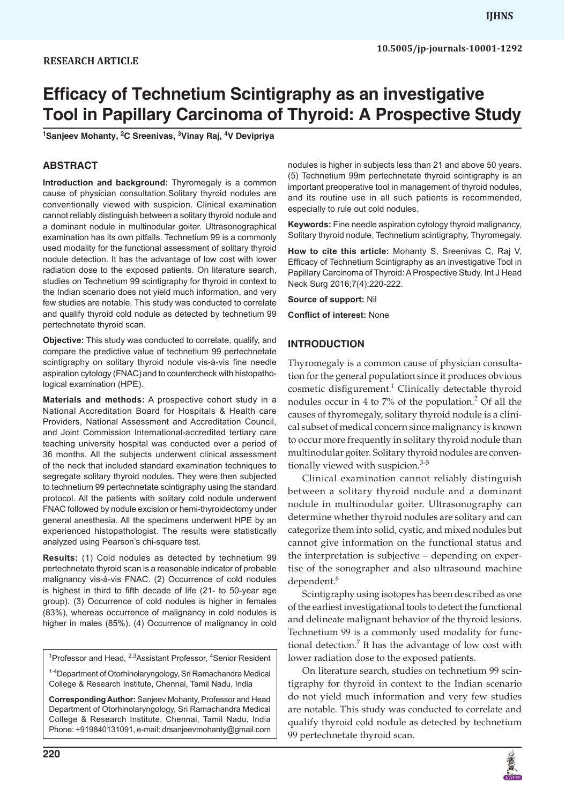#### **RESEARCH ARTICLE**

# **Efficacy of Technetium Scintigraphy as an investigative Tool in Papillary Carcinoma of Thyroid: A Prospective Study**

**1 Sanjeev Mohanty, <sup>2</sup> C Sreenivas, <sup>3</sup> Vinay Raj, <sup>4</sup> V Devipriya**

#### **ABSTRACT**

**Introduction and background:** Thyromegaly is a common cause of physician consultation.Solitary thyroid nodules are conventionally viewed with suspicion. Clinical examination cannot reliably distinguish between a solitary thyroid nodule and a dominant nodule in multinodular goiter. Ultrasonographical examination has its own pitfalls. Technetium 99 is a commonly used modality for the functional assessment of solitary thyroid nodule detection. It has the advantage of low cost with lower radiation dose to the exposed patients. On literature search, studies on Technetium 99 scintigraphy for thyroid in context to the Indian scenario does not yield much information, and very few studies are notable. This study was conducted to correlate and qualify thyroid cold nodule as detected by technetium 99 pertechnetate thyroid scan.

**Objective:** This study was conducted to correlate, qualify, and compare the predictive value of technetium 99 pertechnetate scintigraphy on solitary thyroid nodule vis-à-vis fine needle aspiration cytology (FNAC) and to countercheck with histopathological examination (HPE).

**Materials and methods:** A prospective cohort study in a National Accreditation Board for Hospitals & Health care Providers, National Assessment and Accreditation Council, and Joint Commission International-accredited tertiary care teaching university hospital was conducted over a period of 36 months. All the subjects underwent clinical assessment of the neck that included standard examination techniques to segregate solitary thyroid nodules. They were then subjected to technetium 99 pertechnetate scintigraphy using the standard protocol. All the patients with solitary cold nodule underwent FNAC followed by nodule excision or hemi-thyroidectomy under general anesthesia. All the specimens underwent HPE by an experienced histopathologist. The results were statistically analyzed using Pearson's chi-square test.

**Results:** (1) Cold nodules as detected by technetium 99 pertechnetate thyroid scan is a reasonable indicator of probable malignancy vis-à-vis FNAC. (2) Occurrence of cold nodules is highest in third to fifth decade of life (21- to 50-year age group). (3) Occurrence of cold nodules is higher in females (83%), whereas occurrence of malignancy in cold nodules is higher in males (85%). (4) Occurrence of malignancy in cold

<sup>1</sup>Professor and Head, <sup>2,3</sup> Assistant Professor, <sup>4</sup>Senior Resident

<sup>1-4</sup>Department of Otorhinolaryngology, Sri Ramachandra Medical College & Research Institute, Chennai, Tamil Nadu, India

**Corresponding Author:** Sanjeev Mohanty, Professor and Head Department of Otorhinolaryngology, Sri Ramachandra Medical College & Research Institute, Chennai, Tamil Nadu, India Phone: +919840131091, e-mail: drsanjeevmohanty@gmail.com nodules is higher in subjects less than 21 and above 50 years. (5) Technetium 99m pertechnetate thyroid scintigraphy is an important preoperative tool in management of thyroid nodules, and its routine use in all such patients is recommended, especially to rule out cold nodules.

**Keywords:** Fine needle aspiration cytology thyroid malignancy, Solitary thyroid nodule, Technetium scintigraphy, Thyromegaly.

**How to cite this article:** Mohanty S, Sreenivas C, Raj V, Efficacy of Technetium Scintigraphy as an investigative Tool in Papillary Carcinoma of Thyroid: A Prospective Study. Int J Head Neck Surg 2016;7(4):220-222.

**Source of support:** Nil

**Conflict of interest:** None

#### **INTRODUCTION**

Thyromegaly is a common cause of physician consultation for the general population since it produces obvious cosmetic disfigurement.<sup>1</sup> Clinically detectable thyroid nodules occur in 4 to  $7\%$  of the population.<sup>2</sup> Of all the causes of thyromegaly, solitary thyroid nodule is a clinical subset of medical concern since malignancy is known to occur more frequently in solitary thyroid nodule than multinodular goiter. Solitary thyroid nodules are conventionally viewed with suspicion.<sup>3-5</sup>

Clinical examination cannot reliably distinguish between a solitary thyroid nodule and a dominant nodule in multinodular goiter. Ultrasonography can determine whether thyroid nodules are solitary and can categorize them into solid, cystic, and mixed nodules but cannot give information on the functional status and the interpretation is subjective – depending on expertise of the sonographer and also ultrasound machine dependent.<sup>6</sup>

Scintigraphy using isotopes has been described as one of the earliest investigational tools to detect the functional and delineate malignant behavior of the thyroid lesions. Technetium 99 is a commonly used modality for functional detection.<sup>7</sup> It has the advantage of low cost with lower radiation dose to the exposed patients.

On literature search, studies on technetium 99 scintigraphy for thyroid in context to the Indian scenario do not yield much information and very few studies are notable. This study was conducted to correlate and qualify thyroid cold nodule as detected by technetium 99 pertechnetate thyroid scan.

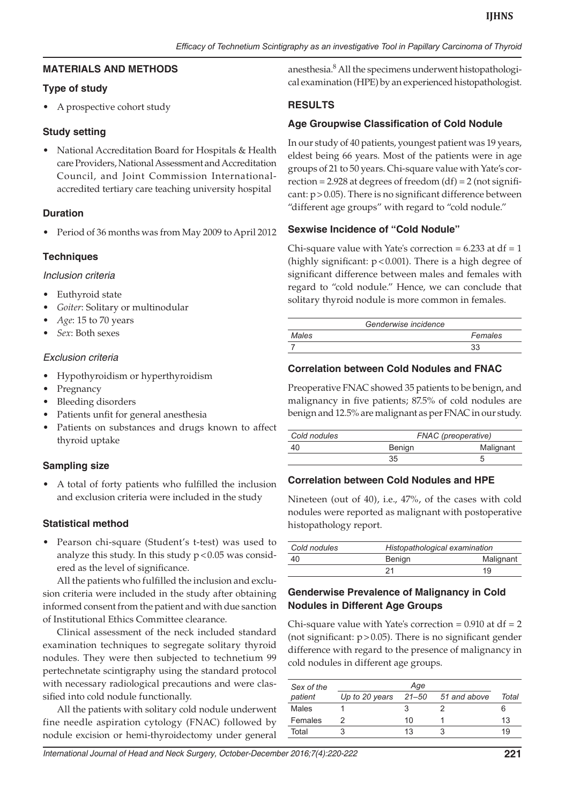#### **MATERIALS AND METHODS**

## **Type of study**

• A prospective cohort study

## **Study setting**

National Accreditation Board for Hospitals & Health care Providers, National Assessment and Accreditation Council, and Joint Commission Internationalaccredited tertiary care teaching university hospital

## **Duration**

• Period of 36 months was from May 2009 to April 2012

## **Techniques**

#### *Inclusion criteria*

- Euthyroid state
- Goiter: Solitary or multinodular
- Age: 15 to 70 years
- • *Sex*: Both sexes

#### *Exclusion criteria*

- Hypothyroidism or hyperthyroidism
- Pregnancy
- Bleeding disorders
- • Patients unfit for general anesthesia
- Patients on substances and drugs known to affect thyroid uptake

#### **Sampling size**

A total of forty patients who fulfilled the inclusion and exclusion criteria were included in the study

#### **Statistical method**

Pearson chi-square (Student's t-test) was used to analyze this study. In this study  $p < 0.05$  was considered as the level of significance.

All the patients who fulfilled the inclusion and exclusion criteria were included in the study after obtaining informed consent from the patient and with due sanction of Institutional Ethics Committee clearance.

Clinical assessment of the neck included standard examination techniques to segregate solitary thyroid nodules. They were then subjected to technetium 99 pertechnetate scintigraphy using the standard protocol with necessary radiological precautions and were classified into cold nodule functionally.

All the patients with solitary cold nodule underwent fine needle aspiration cytology (FNAC) followed by nodule excision or hemi-thyroidectomy under general

anesthesia.8 All the specimens underwent histopathological examination (HPE) by an experienced histopathologist.

## **RESULTS**

## **Age Groupwise Classification of Cold Nodule**

In our study of 40 patients, youngest patient was 19 years, eldest being 66 years. Most of the patients were in age groups of 21 to 50 years. Chi-square value with Yate's correction = 2.928 at degrees of freedom  $(df) = 2$  (not significant: p>0.05). There is no significant difference between "different age groups" with regard to "cold nodule."

#### **Sexwise Incidence of "Cold Nodule"**

Chi-square value with Yate's correction =  $6.233$  at df = 1 (highly significant:  $p < 0.001$ ). There is a high degree of significant difference between males and females with regard to "cold nodule." Hence, we can conclude that solitary thyroid nodule is more common in females.

|       | Genderwise incidence |
|-------|----------------------|
| Males | Females              |
|       | 33                   |

#### **Correlation between Cold Nodules and FNAC**

Preoperative FNAC showed 35 patients to be benign, and malignancy in five patients; 87.5% of cold nodules are benign and 12.5% are malignant as per FNAC in our study.

| Cold nodules |        | FNAC (preoperative) |  |  |
|--------------|--------|---------------------|--|--|
| -40          | Benign | Malignant           |  |  |
|              | 35     |                     |  |  |

#### **Correlation between Cold Nodules and HPE**

Nineteen (out of 40), i.e., 47%, of the cases with cold nodules were reported as malignant with postoperative histopathology report.

| Cold nodules | Histopathological examination |           |  |
|--------------|-------------------------------|-----------|--|
| 40           | Benign                        | Malignant |  |
|              | 21                            | 19        |  |

## **Genderwise Prevalence of Malignancy in Cold Nodules in Different Age Groups**

Chi-square value with Yate's correction =  $0.910$  at df =  $2$ (not significant:  $p > 0.05$ ). There is no significant gender difference with regard to the presence of malignancy in cold nodules in different age groups.

| Sex of the | Age            |       |              |       |
|------------|----------------|-------|--------------|-------|
| patient    | Up to 20 years | 21–50 | 51 and above | Total |
| Males      |                |       |              |       |
| Females    |                | 10    |              | 13    |
| Total      |                | 13    |              | 19    |